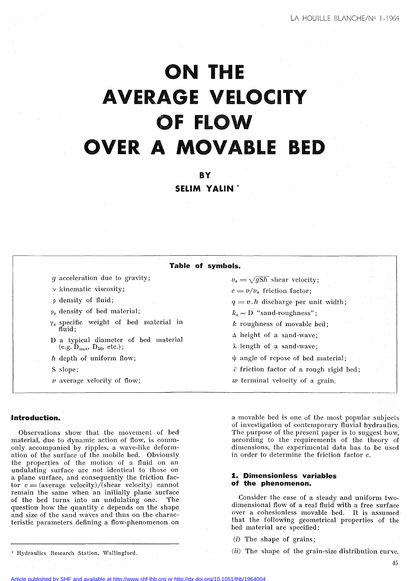# **ON THE AVERAGE VELOelTY OF FLOW OVER A MOVABLE BED**

**BY SELIM YALIN \***

| Table of symbols.                                                                 |                                                                                                           |
|-----------------------------------------------------------------------------------|-----------------------------------------------------------------------------------------------------------|
| <i>g</i> acceleration due to gravity;                                             | $v_* = \sqrt{gSh}$ shear velocity;                                                                        |
| $\nu$ kinematic viscosity;                                                        | $c = v/v_*$ friction factor;                                                                              |
| p density of fluid;                                                               | $q = v.h$ discharge per unit width;                                                                       |
| $\rho_s$ density of bed material;                                                 | $k_s \sim D$ "sand-roughness";                                                                            |
| $\gamma_s$ specific weight of bed material in                                     | $k$ roughness of movable bed;                                                                             |
| fluid:                                                                            | $\Delta$ height of a sand-wave;                                                                           |
| D a typical diameter of bed material<br>(e.g. $\hat{D}_{max}$ , $D_{50}$ , etc.); | $\lambda$ length of a sand-wave;                                                                          |
| h depth of uniform flow;                                                          | $\psi$ angle of repose of bed material;                                                                   |
| S slope;                                                                          | $\bar{c}$ friction factor of a rough rigid bed;                                                           |
| $\nu$ average velocity of flow;                                                   | $w$ terminal velocity of a grain.                                                                         |
|                                                                                   |                                                                                                           |
| Introduction.                                                                     | a movable bed is one of the most popular subjects<br>of investigation of contemporary fluvial hydraulics. |

Observations show that the movement of bed material, due to dynamic action of flow, is commonly accompanied by ripples, a wave-like deformation of the surface of the mobile bed. Obviously the properties of the motion of a fluid on an undulating surface are not identical to those on a plane surface, and consequently the friction factor  $c = (average velocity)/(\text{shear velocity})$  cannot remain the same when an initially plane surface of the bed turns into an undulating one. The question how the quantity c depends on the shape and size of the sand waves and thus on the characteristic parameters defining a flow-phenomenon on

The purpose of the present paper is to suggest how, according to the requirements of the theory of dimensions, the experimental data has to be used in order to determine the friction factor c.

# **1. Dimensionless variables of the phenomenon.**

Consider the case of a steady and uniform twodimensional flow of a real fluid with a free surface over a cohesionless movable bed. It is assumed that the following geometrical properties of the bed material are specified:

(i) The shape of grains;

 $(ii)$  The shape of the grain-size distribution curve.

\* Hydraulics Research Station, Wallingford.

Article published by SHF and available at<http://www.shf-lhb.org> or <http://dx.doi.org/10.1051/lhb/1964004>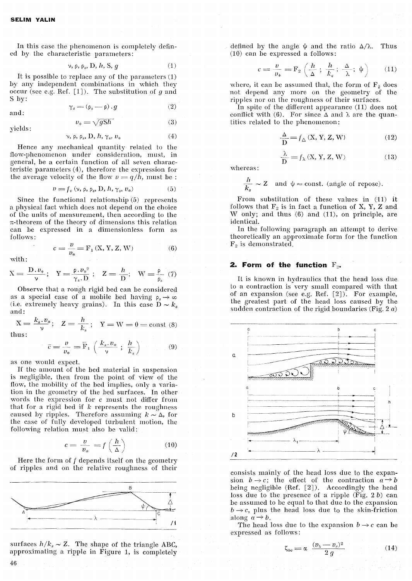In this case the phenomenon is completely defined by the characteristic parameters:

$$
\nu, \rho, \rho_s, D, h, S, g \tag{1}
$$

It is possible to replace any of the parameters (1) by any independent combinations in which they occur (see e.g. Ref. [1]). The substitution of *g* and S by:

$$
\gamma_s = (\rho_s - \rho) \cdot g
$$

and:

yields:

$$
v_* = \sqrt{gS}h
$$

$$
\nu, \rho, \rho_s, D, h, \gamma_s, \nu_* \tag{4}
$$

Rence any mechanical quantity related to the flow-phenomenon under consideration, must, in general, be a certain function of ail seven characteristic parameters (4), therefore the expression for the average velocity of the flow  $v = q/h$ , must be :

$$
v = f_v \left( \mathbf{v}, \mathbf{\rho}, \mathbf{\rho}_s, \mathbf{D}, h, \gamma_s, v_* \right) \tag{5}
$$

(6)

(3)

(2)

Since the functional relationship (5) represents a physical fact which does not depend on the choice of the units of measurement, then according to the  $\pi$ -theorem of the theory of dimensions this relation can be expressed in a dimensionless form as follows:

 $c = \frac{v}{r} = F_1 (X, Y, Z, W)$ 

with:

$$
v_* =
$$

$$
X = \frac{D \cdot v_*}{\nu}; \quad Y = \frac{\rho \cdot v_*^2}{\gamma_s \cdot D}; \quad Z = \frac{h}{D}; \quad W = \frac{\rho}{\rho_s} \tag{7}
$$

Observe that a rough rigid bed can be considered as a special case of a mobile bed having  $\rho_s \to \infty$ (i.e. extremely heavy grains). In this case  $D \sim k_s$ and:

and:  
\n
$$
\mathbf{X} = \frac{k_s \cdot v_*}{\nu}; \quad \mathbf{Z} = \frac{h}{k_s}; \quad \mathbf{Y} = \mathbf{W} = 0 = \text{const (8)}
$$
\nthus:

thus:

 $\overline{c} = \frac{v}{v_*} = \overline{F}_1 \left( \frac{k_s, v_*}{\nu} ; \frac{h}{k_s} \right)$ (9)

as one would expeet.

If the amount of the bed material in suspension is negligible, then from the point of view of the flow, the mobility of the bed implies, only a variation in the geometry of the bed surfaces. In other words the expression for  $c$  must not differ from that for a rigid bed if *le* represents the roughness caused by ripples. Therefore assuming  $k \sim \Delta$ , for the case of fully developed turbulent motion, the following relation must also be valid:

$$
c = \frac{v}{v_*} = f\left(\frac{h}{\Delta}\right) \tag{10}
$$

Here the form of  $f$  depends itself on the geometry



surfaces  $h/k_s \sim Z$ . The shape of the triangle ABC, approximating a ripple in Figure 1, is completely

defined by the angle  $\psi$  and the ratio  $\Delta/\lambda$ . Thus  $(10)$  can be expressed a follows:

$$
c = \frac{v}{v_*} = \mathcal{F}_2 \left( \frac{h}{\Delta} ; \frac{h}{k_*} ; \frac{\Delta}{\lambda} ; \psi \right) \tag{11}
$$

where, it can be assumed that, the form of  $F<sub>2</sub>$  does not depend any more on the geometry of the ripples nor on the roughness of their surfaces.

In spite of the different appearance (11) does not conflict with (6). For since  $\Delta$  and  $\lambda$  are the quantities related to the phenomenon:

$$
\frac{\Delta}{D} = f_{\Delta}(X, Y, Z, W)
$$
 (12)

$$
\frac{\lambda}{D} = f_{\Delta}(X, Y, Z, W)
$$
(12)  

$$
\frac{\lambda}{D} = f_{\lambda}(X, Y, Z, W)
$$
(13)

whereas:

$$
\frac{h}{k_s} \sim Z \quad \text{and } \psi \approx \text{const. (angle of repose)}.
$$

From substitution of these values in (11) it follows that  $F_2$  is in fact a function of X, Y, Z and  $W$  only; and thus  $(6)$  and  $(11)$ , on principle, are identica1.

In the following paragraph an attempt to derive theoretically an approximate form for the funetion  $F<sub>2</sub>$  is demonstrated.

# **2. Form of the function**  $F_{2n}$

It is known in hydraulics that the head loss due to a contraction is very smaIl compared with that of an expansion (see e.g. Ref.  $[2]$ ). For example, the greatest part of the head loss caused by the sudden contraction of the rigid boundaries (Fig. 2  $a$ )



consists mainly of the head loss due to the expansion  $b \rightarrow c$ ; the effect of the contraction  $a \rightarrow b$ heing negligihle (Hef. [2]). Accordingly the head loss due to the presence of a ripple (Fig.  $2 b$ ) can he assumed to he equal to that due to the expansion  $b \rightarrow c$ , plus the head loss due to the skin-friction along  $a \rightarrow b$ .

The head loss due to the expansion  $b \rightarrow c$  can be expressed as follows:

$$
\zeta_{bc} = \alpha \frac{(v_b - v_c)^2}{2g} \tag{14}
$$

46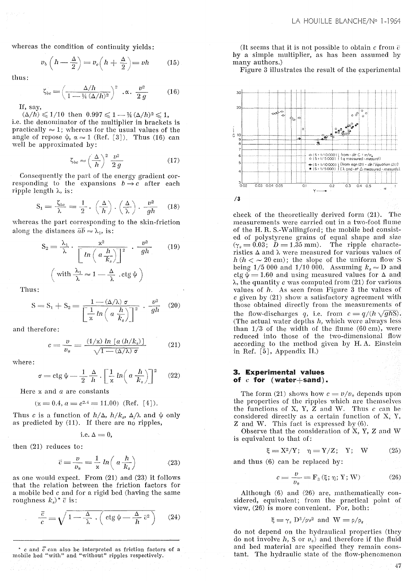whereas the condition of continuity yields:

$$
v_b\left(h-\frac{\Delta}{2}\right) = v_c\left(h+\frac{\Delta}{2}\right) = vh \qquad (15)
$$

thus:

$$
\zeta_{bc} = \left(\frac{\Delta/h}{1 - \frac{1}{4}(\Delta/h)^2}\right)^2 \cdot \alpha \cdot \frac{v^2}{2g} \tag{16}
$$

If, say,

 $(\Delta/h) \leq 1/10$  then  $0.997 \leq 1 - \frac{1}{4} (\Delta/h)^2 \leq 1$ , i.e. the denominator of the multiplier in brackets is practically  $\approx 1$ ; whereas for the usual values of the angle of repose  $\psi$ ,  $\alpha \approx 1$  (Ref. [3]). Thus (16) can well be approximated by:

$$
\zeta_{bc} \approx \left(\frac{\Delta}{h}\right)^2 \frac{\nu^2}{2g} \tag{17}
$$

Consequently the part of the energy gradient corresponding to the expansions  $b \rightarrow c$  after each ripple length  $\lambda$ , is:

$$
S_1 = \frac{\zeta_{bc}}{\lambda} = \frac{1}{2} \cdot \left(\frac{\Delta}{h}\right) \cdot \left(\frac{\Delta}{\lambda}\right) \cdot \frac{v^2}{gh} \quad (18)
$$

whereas the part corresponding to the skin-friction along the distances  $\bar{a}\bar{b} \approx \lambda_1$ , is:

$$
S_2 = \frac{\lambda_1}{\lambda} \cdot \frac{x^2}{\left[ ln \left( a \frac{h}{K_s} \right) \right]^2} \cdot \frac{v^2}{gh}
$$
 (19)  

$$
\left( \text{with } \frac{\lambda_1}{\lambda} \approx 1 - \frac{\Delta}{\lambda} \cdot \text{ctg } \psi \right)
$$

Thus:

$$
S = S_1 + S_2 = \frac{1 - \langle \Delta / \lambda \rangle \sigma}{\left[ \frac{1}{\pi} \ln \left( a \frac{h}{k_s} \right) \right]^2} \cdot \frac{v^2}{gh} \quad (20)
$$

and therefore:

$$
c = \frac{v}{v_*} = \frac{(1/x) \ln \left[a \left(\frac{h}{k_s}\right)\right]}{\sqrt{1 - (\Delta/\lambda) \sigma}} \tag{21}
$$

where:

$$
\sigma = \operatorname{ctg} \psi - \frac{1}{2} \frac{\Delta}{h} \cdot \left[ \frac{1}{\kappa} \ln \left( a \frac{h}{k_s} \right) \right]^2 \quad (22)
$$

Here  $x$  and  $a$  are constants

$$
(\varkappa = 0.4, a = e^{2.4} = 11.00)
$$
 (Ref. [4]).

Thus c is a function of  $h/\Delta$ ,  $h/k_s$ ,  $\Delta/\lambda$  and  $\psi$  only as predicted by (11). If there are no ripples,

i.e. 
$$
\Delta = 0
$$
,

then (21) reduces to:

$$
\bar{c} = \frac{v}{v_*} = \frac{1}{x} \ln \left( a \frac{h}{k_s} \right) \tag{23}
$$

as one would expect. From (21) and (23) it follows that the relation between the friction factors for a mobile bed  $c$  and for a rigid bed (having the same roughness  $k_s$ <sup>\*</sup>  $\bar{c}$  is:

$$
\frac{\overline{c}}{c} = \sqrt{1 - \frac{\Delta}{\lambda} \cdot \left( \text{ctg} \psi - \frac{\Delta}{h} \overline{c}^2 \right)} \qquad (24)
$$

\* c and  $\bar{c}$  can also be interpreted as friction factors of a mobile bed "with" and "without" ripples respectively.

(It seems that it is not possible to obtain c from  $\bar{c}$ by a simple multiplier, as has been assumed by many authors.)

Figure 3 illustrates the result of the experimental



check of the theoretically derived form (21). The measurements were carried out in a two-foot flume of the H.R. S.-Wallingford; the mobile bed consisted of polystyrene grains of equal shape and size  $(\gamma_s = 0.03; \ D = 1.35 \text{ mm})$ . The ripple characteristics  $\Delta$  and  $\lambda$  were measured for various values of  $h (h < \sim 20 \text{ cm})$ ; the slope of the uniform flow S<br>being 1/5 000 and 1/10 000. Assuming  $k_s \approx D$  and ctg  $\psi = 1.60$  and using measured values for  $\Delta$  and  $\lambda$ , the quantity c was computed from (21) for various values of  $h$ . As seen from Figure 3 the values of  $c$  given by  $(21)$  show a satisfactory agreement with those obtained directly from the measurements of the flow-discharges q, i.e. from  $c = q/(h\sqrt{ghS})$ . (The actual water depths  $h$ , which were always less than  $1/3$  of the width of the flume  $(60 \text{ cm})$ , were reduced into those of the two-dimensional flow according to the method given by H.A. Einstein in Ref. [5], Appendix II.)

# 3. Experimental values of  $c$  for (water+sand).

The form (21) shows how  $c = v/v_*$  depends upon the properties of the ripples which are themselves the functions of X, Y,  $\overline{Z}$  and W. Thus  $c$  can be considered directly as a certain function of  $X$ ,  $Y$ ,  $Z$  and W. This fact is expressed by  $(6)$ .

Observe that the consideration of X, Y, Z and W is equivalent to that of:

$$
\xi = \mathbf{X}^2/\mathbf{Y}; \quad \eta = \mathbf{Y}/\mathbf{Z}; \quad \mathbf{Y}; \quad \mathbf{W} \tag{25}
$$

and thus (6) can be replaced by:

$$
c = \frac{v}{v_*} = \mathbf{F}_3 \left( \xi; \eta; \mathbf{Y}; \mathbf{W} \right) \tag{26}
$$

47

Although (6) and (26) are, mathematically considered, equivalent; from the practical point of view,  $(26)$  is more convenient. For, both:

$$
\xi = \gamma_s \frac{D^3}{\rho v^2}
$$
 and  $W = \frac{\rho}{\rho_s}$ 

do not depend on the hydraulical properties (they do not involve  $h$ , S or  $v_*$ ) and therefore if the fluid and bed material are specified they remain constant. The hydraulic state of the flow-phenomenon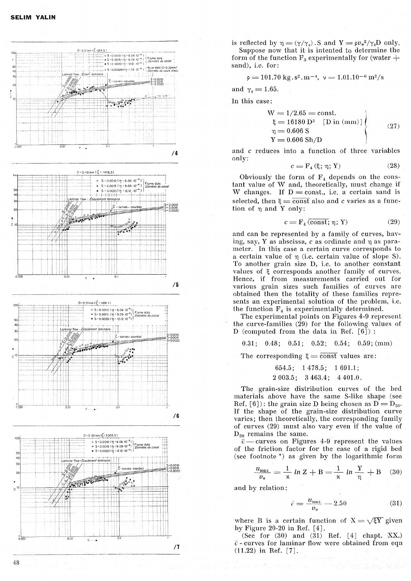

is reflected by  $\eta = (\gamma/\gamma_s)$ . S and  $Y = \rho v_*^2/\gamma_s D$  only. Suppose now that it is intented to determine the form of the function  $F_3$  experimentally for (water  $+$ sand), i.e. for:

$$
\rho=101.70\;{\rm kg}\,,s^2\,m^{-4},\;\nu=1.01.10^{-6}\,m^2/s
$$

and  $\gamma_s = 1.65$ .

In this case:

$$
W = 1/2.65 = \text{const.}\n\xi = 16180 D3 [D in (mm)]\n\eta = 0.606 S\nY = 0.606 Sh/D
$$
\n(27)

and c reduces into a function of three variables only:

$$
c = \mathbf{F}_4\left(\xi; \eta; \mathbf{Y}\right) \tag{28}
$$

Obviously the form of  $F_4$  depends on the constant value of W and, theoretically, must change if W changes. If  $D = const.$ , i.e. a certain sand is selected, then  $\xi = \overline{\text{const}}$  also and c varies as a function of  $\eta$  and Y only:

$$
c = \mathbf{F}_4 \left( \overline{\text{const}}; \mathbf{\eta}; \mathbf{Y} \right) \tag{29}
$$

and can be represented by a family of curves, having, say, Y as abscissa, c as ordinate and  $\eta$  as parameter. In this case a certain curve corresponds to a certain value of  $\eta$  (i.e. certain value of slope S). To another grain size D, i.e. to another constant values of  $\xi$  corresponds another family of curves. Hence, if from measurements carried out for various grain sizes such families of curves are obtained then the totality of these families represents an experimental solution of the problem, i.e. the function  $F_4$  is experimentally determined.

The experimental points on Figures 4-9 represent the curve-families  $(29)$  for the following values of D (computed from the data in Ref. [6]) :

0.31; 0.48; 0.51; 0.52; 0.54; 0.59; (mm)

The corresponding  $\xi = \overline{\text{const}}$  values are:

 $654.5; 1478.5; 1691.1;$  $2003.5$ ;  $3463.4$ ;  $4401.0$ .

The grain-size distribution curves of the bed materials above have the same S-like shape (see Ref. [6]): the grain size D being chosen as  $\overline{D} = D_{50}$ . If the shape of the grain-size distribution curve varies; then theoretically, the corresponding family of curves (29) must also vary even if the value of  $D_{50}$  remains the same.

 $\bar{c}$  - curves on Figures 4-9 represent the values of the friction factor for the case of a rigid bed (see footnote  $\star$ ) as given by the logarithmic form

$$
\frac{u_{\text{max}}}{v_*} = \frac{1}{\kappa} \ln Z + B = \frac{1}{\kappa} \ln \frac{Y}{\eta} + B \quad (30)
$$

and by relation:

$$
\bar{c} = \frac{u_{\text{max}}}{v_*} - 2.50\tag{31}
$$

where B is a certain function of  $X = \sqrt{\xi Y}$  given hy Figure 20-20 in Ref. [4].

(See for  $(30)$  and  $(31)$  Ref.  $[4]$  chapt. XX.)  $\bar{c}$  - curves for laminar flow were obtained from eqn  $(11.22)$  in Ref. [7].

48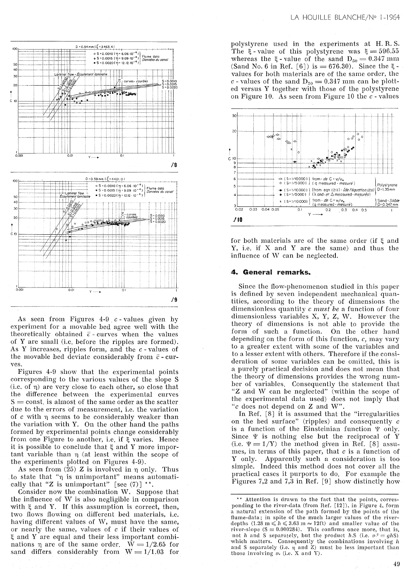

As seen from Figures  $4-9$  c - values given by experiment for a movable bed agree well with the theoretically obtained  $\bar{c}$ -curves when the values of Y are small (i.e. before the ripples are formed). As Y increases, ripples form, and the  $c$ -values of the movable bed deviate considerably from  $\bar{c}$  - curves.

Figures 4-9 show that the experimental points corresponding to the various values of the slope S (i.e. of  $\eta$ ) are very close to each other, so close that the difference between the experimental curves  $S = \text{const}$ , is almost of the same order as the scatter due to the errors of measurement, i.e. the variation of  $c$  with  $\eta$  seems to be considerably weaker than the variation with Y. On the other hand the paths formed by experimental points change considerably from one Figure to another, i.e. if  $\xi$  varies. Hence it is possible to conclude that  $\xi$  and Y more important variable than  $\eta$  (at least within the scope of the experiments plotted on Figures 4-9).

As seen from  $(25)$  Z is involved in  $\eta$  only. Thus to state that "n is unimportant" means automatically that "Z is unimportant" [see  $(7)$ ] \*\*.

Consider now the combination W. Suppose that the influence of W is also negligible in comparison with  $\xi$  and Y. If this assumption is correct, then, two flows flowing on different bed materials, i.e. having different values of W, must have the same, or nearly the same, values of  $c$  if their values of ξ and Y are equal and their less important combinations  $\eta$  are of the same order.  $W = 1/2.65$  for sand differs considerably from  $W = 1/1.03$  for

polystyrene used in the experiments at H.R.S. The  $\xi$ -value of this polystyrene was  $\xi = 596.55$ whereas the  $\xi$ -value of the sand  $D_{50} = 0.347$  mm (Sand No. 6 in Ref. [6]) is = 676.30). Since the  $\xi$ values for both materials are of the same order, the c - values of the sand  $D_{50} = 0.347$  mm can be plotted versus Y together with those of the polystyrene on Figure 10. As seen from Figure 10 the  $c$  - values



for both materials are of the same order (if  $\xi$  and Y, i.e. if X and Y are the same) and thus the influence of W can be neglected.

# 4. General remarks.

Since the flow-phenomenon studied in this paper is defined by seven independent mechanical quantities, according to the theory of dimensions the dimensionless quantity c must be a function of four dimensionless variables X, Y, Z, W. However the theory of dimensions is not able to provide the form of such a function. On the other hand depending on the form of this function,  $c$ , may vary to a greater extent with some of the variables and to a lesser extent with others. Therefore if the consideration of some variables can be omitted, this is a purely practical decision and does not mean that the theory of dimensions provides the wrong numbe of variables. Consequently the statement that<br>"Z and W can be neglected" (within the scope of<br>the experimental data used) does not imply that "c does not depend on Z and W".

In Ref.  $[8]$  it is assumed that the "irregularities" on the bed surface" (ripples) and consequently c is a function of the Einsteinian function  $\Psi$  only. Since  $\Psi$  is nothing else but the reciprocal of Y (i.e.  $\Psi = 1/Y$ ) the method given in Ref. [8] assumes, in terms of this paper, that  $c$  is a function of Y only. Apparently such a consideration is too simple. Indeed this method does not cover all the practical cases it purports to do. For example the Figures 7,2 and 7,3 in Ref.  $[9]$  show distinctly how

<sup>\*\*</sup> Attention is drawn to the fact that the points, corresponding to the river-data (from Ref. [12]), in Figure 4, form a natural extension of the path formed by the points of the flume-data; in spite of the much larger values of the river-<br>depths  $(1.28 \text{ m} \leq h \leq 3.63 \text{ m} \approx 12 \text{ ft})$  and smaller value of the river-slope  $(S = 0.000284)$ . This confirms once more, that is, not h and S separately, but the product h.S (i.e.  $v^2 = ghS$ ) which matters. Consequently the combinations involving h<br>and S separately (i.e.  $\eta$  and Z) must be less important than<br>those involving  $v_*$  (i.e. X and Y).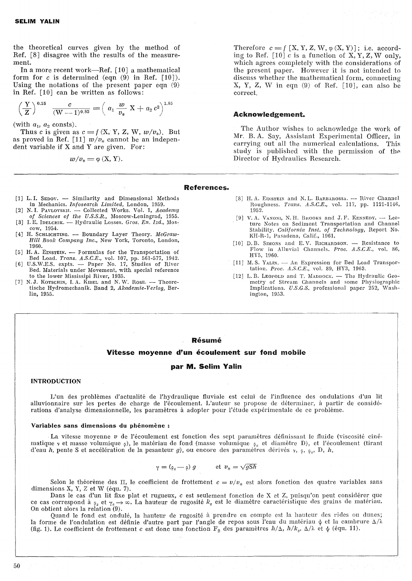the theoretical curves given by the method of Ref. [8] disagree with the results of the measurement.

In a more recent work-Ref. [10] a mathematical form for  $c$  is determined (eqn  $(9)$  in Ref.  $[10]$ ). Using the notations of the present paper eqn (9)

in Ref. [10] can be written as follows:  
\n
$$
\left(\frac{Y}{Z}\right)^{0.15} \frac{c}{(W-1)^{0.85}} = \left(a_1 \frac{w}{v_*} X + a_2 c^2\right)^{1.85}
$$

(with  $a_1$ ,  $a_2$  consts).

Thus c is given as  $c = f(X, Y, Z, W, w/v_*)$ . But as proved in Ref. [11]  $w/v_*$  cannot be an independent variable if X and Y are given. For:

$$
w/v_* = \varphi(X, Y).
$$

Therefore  $c = f [X, Y, Z, W, \varphi(X, Y)];$  i.e. according to Ref.  $[10]$  c is a function of X, Y, Z, W only, which agrees completely with the considerations of the present paper. However it is not intended to discuss whether the mathematical form, connecting X, Y, Z, W in eqn (9) of Ref. [10}, can also be correct.

## Acknowledgement.

The Author wishes to acknowledge the work of Mr. B. A. Say, Assistant Experimental Officer, in carrying out all the numerical calculations. This study is published with the permission of the Direetor of Hydraulics Research.

## References.

- [1] L. I. SEDOV. Similarity and Dimensional Methods in Mechanics. *Infosearcll Limited,* London, 1959.
- [2] N.I. Pavlovskil. Collected Works. Vol. 1, *Academy*
- *of* Sciences *of tlle U.S.S.R.,* Moscow-Leningrad, 1955. [3] I. E. IDELCHIK. - Hydraulic Losses. *Gros. En. Izd.*, Moscow, 1954.
- [4] H. SCHLICHTING. Boundary Layer Theory. McGraw-*Hill Book Company Inc.,* New York, Toronto, London, 1960.
- [5] H.A. EINSTEIN. Formulas for the Transportation of
- Bed Load. *Trans. A.S.C.E.,* vol. 107, pp. 561-577, 1942. [6] U.S.W.E.S. expts. - Paper No. 17, Studies of River Bed. Materials under Movemcnt, with special refercnce
- to the lower Mississipi River, 1935. [7] N.J. KOTSCHIN, I.A. KIBEL and N.W. ROSE. - Theoretische Hydromechanik. Band 2, *Akademie-Verlag,* Berlin, 1955.

,--------------------

- [8] H. A. EINSTEIN and N. L. BARBAROSSA. River Channel Roughness. *Trans. A.S.C.E.*, vol. 117, pp. 1121-1146, 1952.
- [9] V. A. VANONI, N. H. BROOKS and J. F. KENNEDY.  $-$  Lecture Notes on Sediment Transportation and Channel Stability. *California Inst. of l'echnology,* Heport No. KH-R-1, Pasadena, Calif., 1961.
- [10] D.B. SIMONS and E.V. RICHARDSON. Resistance to Flow in Alluvial Channels. Proc. A.S.C.E., vol. 86, HYS, 1960.
- [11] M.S. YALIN. An Expression for Bed Load Transportation. *Proc. A.S.C.E.*, vol. 89, HY3, 1963.
- [12] L. B. LEOPOLD and T. MADDOCK.  $-$  The Hydraulic Geometry of Stream Channels and some Physiographie Implications. *U.S.G.S.* professional paper 252, Washington, 1D53.

#### Résumé

#### Vitesse moyenne d'un écoulement sur fond mobile

#### par M. Selim Yalin

#### INTRODUCTION

L'un des problèmes d'actualité de l'hydraulique fluviale est celui de l'influence des ondulations d'lm lit alluvionnaire sur les pertes de charge de l'écoulement. L'auteur se propose de déterminer, à partir de considérations d'analyse dimensionnelle, les paramètres à adopter pour l'étude expérimentale de ce problème.

### Variables sans dimensions du phénomène:

La vitesse moyenne *v* de l'écoulement est fonction des sept paramètres définissant le fluide (viscosité cinématique y et masse volumique  $\varphi$ ), le matériau de fond (masse volumique  $\varphi_s$  et diamètre D), et l'écoulement (tirant d'eau  $h$ , pente S et accélération de la pesanteur g), ou encore des paramètres dérivés v,  $\varphi$ ,  $\varphi_s$ , D,  $h$ ,

$$
\gamma = (\rho_s - \rho) g \qquad \text{et } v_* = \sqrt{gS}\hbar
$$

Selon le théorème des II, le coefficient de frottement  $c = v/v_*$  est alors fonction des quatre variables sans dimensions X, Y, Z et W (équ. 7).

Dans le cas d'un lit fixe plat et rugueux, c est seulement fonction de X et Z, puisqu'on peut considérer que ce cas correspond à  $\varphi_s$  et  $\gamma_s \to \infty$ . La hauteur de rugosité  $k_s$  est le diamètre caractéristique des grains de matériau. On obtient alors la relation (9),

Quand le fond est ondulé, la hauteur de rugosité à prendre en compte est la hauteur des rides ou dunes; la forme de l'ondulation est définie d'autre part par l'angle de repos sous l'eau du matériau  $\psi$  et la cambrure  $\Delta/\lambda$ (fig. 1). Le coefficient de frottement c est donc une fonction  $F_2$  des paramètres  $h/\Delta$ ,  $h/k_s$ ,  $\Delta/\lambda$  et  $\psi$  (équ. 11).